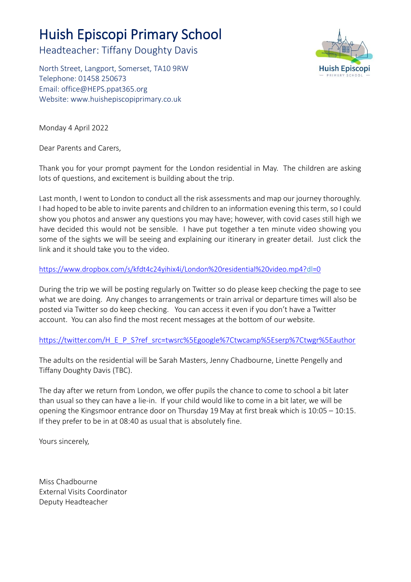# Huish Episcopi Primary School

Headteacher: Tiffany Doughty Davis

North Street, Langport, Somerset, TA10 9RW Telephone: 01458 250673 Email: [office@HEPS.ppat365.org](mailto:office@HEPS.ppat365.org) Website: [www.huishepiscopiprimary.co.uk](http://www.huishepiscopiprimary.co.uk/)



Monday 4 April 2022

Dear Parents and Carers,

Thank you for your prompt payment for the London residential in May. The children are asking lots of questions, and excitement is building about the trip.

Last month, I went to London to conduct all the risk assessments and map our journey thoroughly. I had hoped to be able to invite parents and children to an information evening this term, so I could show you photos and answer any questions you may have; however, with covid cases still high we have decided this would not be sensible. I have put together a ten minute video showing you some of the sights we will be seeing and explaining our itinerary in greater detail. Just click the link and it should take you to the video.

### <https://www.dropbox.com/s/kfdt4c24yihix4i/London%20residential%20video.mp4?dl=0>

During the trip we will be posting regularly on Twitter so do please keep checking the page to see what we are doing. Any changes to arrangements or train arrival or departure times will also be posted via Twitter so do keep checking. You can access it even if you don't have a Twitter account. You can also find the most recent messages at the bottom of our website.

# [https://twitter.com/H\\_E\\_P\\_S?ref\\_src=twsrc%5Egoogle%7Ctwcamp%5Eserp%7Ctwgr%5Eauthor](https://twitter.com/H_E_P_S?ref_src=twsrc%5Egoogle%7Ctwcamp%5Eserp%7Ctwgr%5Eauthor)

The adults on the residential will be Sarah Masters, Jenny Chadbourne, Linette Pengelly and Tiffany Doughty Davis (TBC).

The day after we return from London, we offer pupils the chance to come to school a bit later than usual so they can have a lie-in. If your child would like to come in a bit later, we will be opening the Kingsmoor entrance door on Thursday 19 May at first break which is 10:05 – 10:15. If they prefer to be in at 08:40 as usual that is absolutely fine.

Yours sincerely,

Miss Chadbourne External Visits Coordinator Deputy Headteacher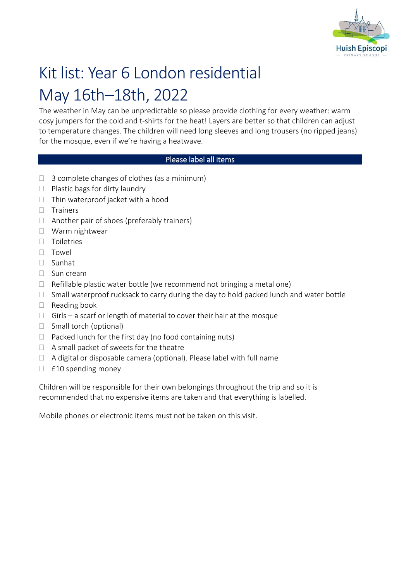

# Kit list: Year 6 London residential May 16th–18th, 2022

The weather in May can be unpredictable so please provide clothing for every weather: warm cosy jumpers for the cold and t-shirts for the heat! Layers are better so that children can adjust to temperature changes. The children will need long sleeves and long trousers (no ripped jeans) for the mosque, even if we're having a heatwave.

# Please label all items

- $\Box$  3 complete changes of clothes (as a minimum)
- $\Box$  Plastic bags for dirty laundry
- $\Box$  Thin waterproof jacket with a hood
- $\Box$  Trainers
- $\Box$  Another pair of shoes (preferably trainers)
- Warm nightwear
- **Toiletries**
- $\Box$  Towel
- Sunhat
- $\Box$  Sun cream
- $\Box$  Refillable plastic water bottle (we recommend not bringing a metal one)
- $\Box$  Small waterproof rucksack to carry during the day to hold packed lunch and water bottle
- $\Box$  Reading book
- $\Box$  Girls a scarf or length of material to cover their hair at the mosque
- $\Box$  Small torch (optional)
- $\Box$  Packed lunch for the first day (no food containing nuts)
- $\Box$  A small packet of sweets for the theatre
- $\Box$  A digital or disposable camera (optional). Please label with full name
- $\Box$  £10 spending money

Children will be responsible for their own belongings throughout the trip and so it is recommended that no expensive items are taken and that everything is labelled.

Mobile phones or electronic items must not be taken on this visit.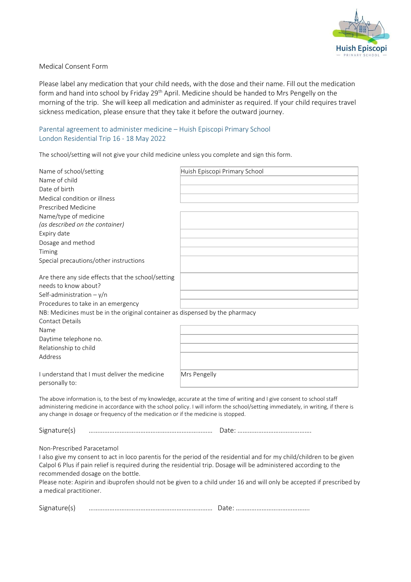

Medical Consent Form

Please label any medication that your child needs, with the dose and their name. Fill out the medication form and hand into school by Friday 29<sup>th</sup> April. Medicine should be handed to Mrs Pengelly on the morning of the trip. She will keep all medication and administer as required. If your child requires travel sickness medication, please ensure that they take it before the outward journey.

#### Parental agreement to administer medicine – Huish Episcopi Primary School London Residential Trip 16 - 18 May 2022

The school/setting will not give your child medicine unless you complete and sign this form.

| Name of school/setting                                                       | Huish Episcopi Primary School                                                                                             |
|------------------------------------------------------------------------------|---------------------------------------------------------------------------------------------------------------------------|
| Name of child                                                                |                                                                                                                           |
| Date of birth                                                                |                                                                                                                           |
| Medical condition or illness                                                 |                                                                                                                           |
| Prescribed Medicine                                                          |                                                                                                                           |
| Name/type of medicine                                                        |                                                                                                                           |
| (as described on the container)                                              |                                                                                                                           |
| Expiry date                                                                  |                                                                                                                           |
| Dosage and method                                                            |                                                                                                                           |
| Timing                                                                       |                                                                                                                           |
| Special precautions/other instructions                                       |                                                                                                                           |
|                                                                              |                                                                                                                           |
| Are there any side effects that the school/setting                           |                                                                                                                           |
| needs to know about?                                                         |                                                                                                                           |
| Self-administration $-y/n$                                                   |                                                                                                                           |
| Procedures to take in an emergency                                           |                                                                                                                           |
| NB: Medicines must be in the original container as dispensed by the pharmacy |                                                                                                                           |
| <b>Contact Details</b>                                                       |                                                                                                                           |
| Name                                                                         |                                                                                                                           |
| Daytime telephone no.                                                        |                                                                                                                           |
| Relationship to child                                                        |                                                                                                                           |
| Address                                                                      |                                                                                                                           |
|                                                                              |                                                                                                                           |
| Lunderstand that Lmust deliver the medicine<br>personally to:                | Mrs Pengelly                                                                                                              |
|                                                                              | The above information is, to the best of my knowledge, accurate at the time of writing and I give consent to school staff |

The above information is, to the best of my knowledge, accurate at the time of writing and I give consent to school staff administering medicine in accordance with the school policy. I will inform the school/setting immediately, in writing, if there is any change in dosage or frequency of the medication or if the medicine is stopped.

Signature(s) ……………………………………………………………… Date: …………………………………….

Non-Prescribed Paracetamol

I also give my consent to act in loco parentis for the period of the residential and for my child/children to be given Calpol 6 Plus if pain relief is required during the residential trip. Dosage will be administered according to the recommended dosage on the bottle.

Please note: Aspirin and ibuprofen should not be given to a child under 16 and will only be accepted if prescribed by a medical practitioner.

| $\sim$<br>שור |  | . |
|---------------|--|---|
|---------------|--|---|